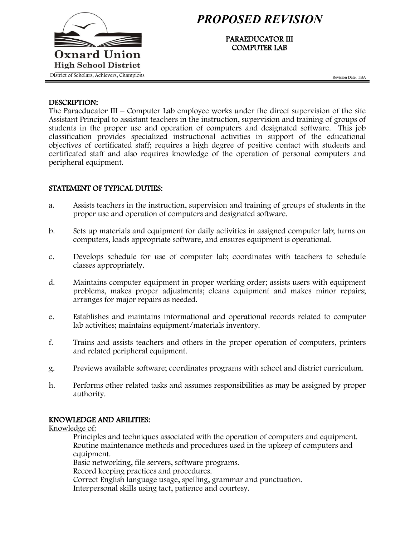

# *PROPOSED REVISION*

PARAEDUCATOR III COMPUTER LAB

Revision Date: TBA

#### DESCRIPTION:

The Paraeducator III – Computer Lab employee works under the direct supervision of the site Assistant Principal to assistant teachers in the instruction, supervision and training of groups of students in the proper use and operation of computers and designated software. This job classification provides specialized instructional activities in support of the educational objectives of certificated staff; requires a high degree of positive contact with students and certificated staff and also requires knowledge of the operation of personal computers and peripheral equipment.

# STATEMENT OF TYPICAL DUTIES:

- a. Assists teachers in the instruction, supervision and training of groups of students in the proper use and operation of computers and designated software.
- b. Sets up materials and equipment for daily activities in assigned computer lab; turns on computers, loads appropriate software, and ensures equipment is operational.
- c. Develops schedule for use of computer lab; coordinates with teachers to schedule classes appropriately.
- d. Maintains computer equipment in proper working order; assists users with equipment problems, makes proper adjustments; cleans equipment and makes minor repairs; arranges for major repairs as needed.
- e. Establishes and maintains informational and operational records related to computer lab activities; maintains equipment/materials inventory.
- f. Trains and assists teachers and others in the proper operation of computers, printers and related peripheral equipment.
- g. Previews available software; coordinates programs with school and district curriculum.
- h. Performs other related tasks and assumes responsibilities as may be assigned by proper authority.

# KNOWLEDGE AND ABILITIES:

Knowledge of:

Principles and techniques associated with the operation of computers and equipment. Routine maintenance methods and procedures used in the upkeep of computers and equipment.

Basic networking, file servers, software programs.

Record keeping practices and procedures.

Correct English language usage, spelling, grammar and punctuation.

Interpersonal skills using tact, patience and courtesy.